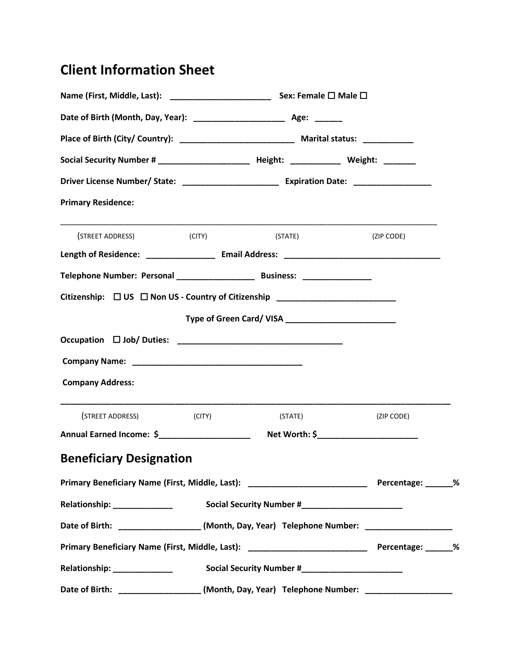## **Client Information Sheet**

| Social Security Number # ________________________ Height: _____________ Weight: _______              |         |  |            |  |
|------------------------------------------------------------------------------------------------------|---------|--|------------|--|
|                                                                                                      |         |  |            |  |
| <b>Primary Residence:</b>                                                                            |         |  |            |  |
| <u> 1989 - Johann Stoff, amerikansk politiker (d. 1989)</u><br>(STREET ADDRESS) (CITY)               | (STATE) |  | (ZIP CODE) |  |
|                                                                                                      |         |  |            |  |
|                                                                                                      |         |  |            |  |
| Citizenship: □ US □ Non US - Country of Citizenship ____________________________                     |         |  |            |  |
|                                                                                                      |         |  |            |  |
|                                                                                                      |         |  |            |  |
|                                                                                                      |         |  |            |  |
| <b>Company Address:</b>                                                                              |         |  |            |  |
| (STREET ADDRESS) (CITY)                                                                              | (STATE) |  | (ZIP CODE) |  |
| Annual Earned Income: \$______________________                                                       |         |  |            |  |
| <b>Beneficiary Designation</b>                                                                       |         |  |            |  |
| Primary Beneficiary Name (First, Middle, Last): ________________________________ Percentage: ______% |         |  |            |  |
|                                                                                                      |         |  |            |  |
| Date of Birth: ____________________(Month, Day, Year) Telephone Number: ____________________         |         |  |            |  |
| Primary Beneficiary Name (First, Middle, Last): ________________________________ Percentage: ______% |         |  |            |  |
| Relationship: _______________                                                                        |         |  |            |  |
| Date of Birth: _____________________(Month, Day, Year) Telephone Number: ___________________         |         |  |            |  |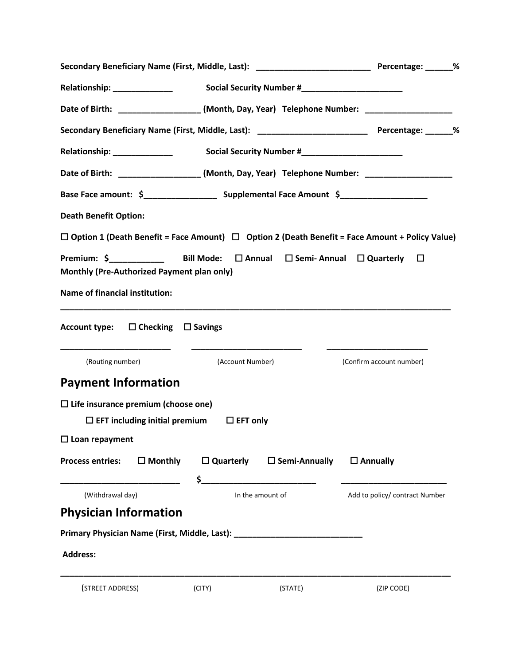|                                                                                                    |                           | Secondary Beneficiary Name (First, Middle, Last): _______________________________ Percentage: ______%      |
|----------------------------------------------------------------------------------------------------|---------------------------|------------------------------------------------------------------------------------------------------------|
| Relationship: _______________                                                                      |                           |                                                                                                            |
|                                                                                                    |                           | Date of Birth: ___________________(Month, Day, Year) Telephone Number: _________________                   |
|                                                                                                    |                           | Secondary Beneficiary Name (First, Middle, Last): ______________________________ Percentage: ______%       |
| Relationship: _____________                                                                        |                           |                                                                                                            |
|                                                                                                    |                           | Date of Birth: ____________________(Month, Day, Year) Telephone Number: ___________________________        |
|                                                                                                    |                           |                                                                                                            |
| <b>Death Benefit Option:</b>                                                                       |                           |                                                                                                            |
|                                                                                                    |                           | $\Box$ Option 1 (Death Benefit = Face Amount) $\Box$ Option 2 (Death Benefit = Face Amount + Policy Value) |
| Monthly (Pre-Authorized Payment plan only)                                                         |                           |                                                                                                            |
| <b>Name of financial institution:</b>                                                              |                           |                                                                                                            |
| Account type: $\Box$ Checking $\Box$ Savings                                                       |                           |                                                                                                            |
| (Routing number)                                                                                   | (Account Number)          | (Confirm account number)                                                                                   |
| <b>Payment Information</b>                                                                         |                           |                                                                                                            |
| $\Box$ Life insurance premium (choose one)<br>$\Box$ EFT including initial premium $\Box$ EFT only |                           |                                                                                                            |
| $\square$ Loan repayment                                                                           |                           |                                                                                                            |
| $\Box$ Monthly<br><b>Process entries:</b>                                                          | $\square$ Quarterly<br>\$ | $\square$ Semi-Annually<br>$\square$ Annually                                                              |
| (Withdrawal day)                                                                                   | In the amount of          | Add to policy/ contract Number                                                                             |
| <b>Physician Information</b>                                                                       |                           |                                                                                                            |
| Primary Physician Name (First, Middle, Last): __________________________________                   |                           |                                                                                                            |
| <b>Address:</b>                                                                                    |                           |                                                                                                            |
| (STREET ADDRESS)                                                                                   | (CITY)<br>(STATE)         | (ZIP CODE)                                                                                                 |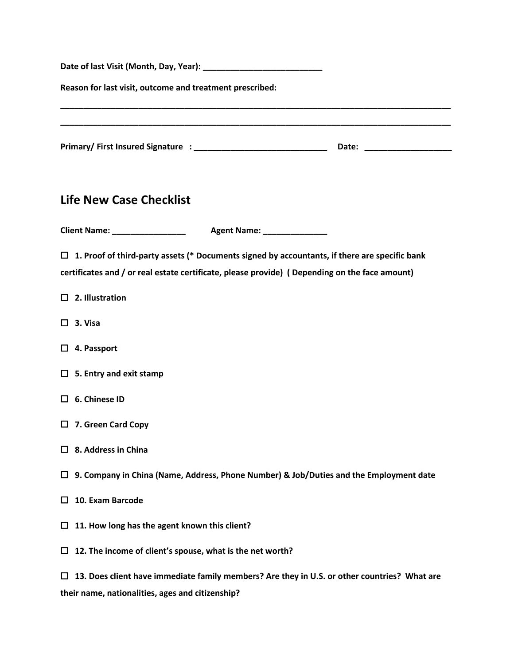| Reason for last visit, outcome and treatment prescribed:                                                                                                                                              |  |
|-------------------------------------------------------------------------------------------------------------------------------------------------------------------------------------------------------|--|
|                                                                                                                                                                                                       |  |
|                                                                                                                                                                                                       |  |
| <b>Life New Case Checklist</b>                                                                                                                                                                        |  |
|                                                                                                                                                                                                       |  |
| $\Box$ 1. Proof of third-party assets (* Documents signed by accountants, if there are specific bank<br>certificates and / or real estate certificate, please provide) (Depending on the face amount) |  |
| $\Box$ 2. Illustration                                                                                                                                                                                |  |
| $\Box$ 3. Visa                                                                                                                                                                                        |  |
| $\Box$ 4. Passport                                                                                                                                                                                    |  |
| $\Box$ 5. Entry and exit stamp                                                                                                                                                                        |  |
| $\Box$ 6. Chinese ID                                                                                                                                                                                  |  |
| $\Box$ 7. Green Card Copy                                                                                                                                                                             |  |
| 8. Address in China<br>$\Box$                                                                                                                                                                         |  |
| 9. Company in China (Name, Address, Phone Number) & Job/Duties and the Employment date<br>□                                                                                                           |  |
| 10. Exam Barcode<br>ப                                                                                                                                                                                 |  |
| 11. How long has the agent known this client?<br>ப                                                                                                                                                    |  |
| 12. The income of client's spouse, what is the net worth?<br>ப                                                                                                                                        |  |
| 13. Does client have immediate family members? Are they in U.S. or other countries? What are<br>ப<br>their name, nationalities, ages and citizenship?                                                 |  |